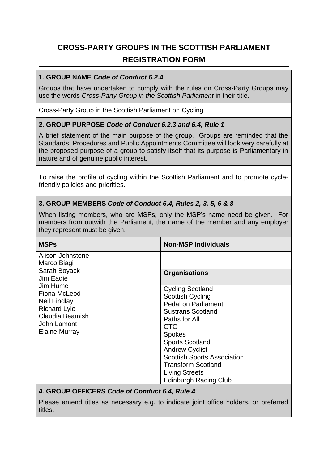# **CROSS-PARTY GROUPS IN THE SCOTTISH PARLIAMENT REGISTRATION FORM**

#### **1. GROUP NAME** *Code of Conduct 6.2.4*

Groups that have undertaken to comply with the rules on Cross-Party Groups may use the words *Cross-Party Group in the Scottish Parliament* in their title.

Cross-Party Group in the Scottish Parliament on Cycling

## **2. GROUP PURPOSE** *Code of Conduct 6.2.3 and 6.4, Rule 1*

A brief statement of the main purpose of the group. Groups are reminded that the Standards, Procedures and Public Appointments Committee will look very carefully at the proposed purpose of a group to satisfy itself that its purpose is Parliamentary in nature and of genuine public interest.

To raise the profile of cycling within the Scottish Parliament and to promote cyclefriendly policies and priorities.

#### **3. GROUP MEMBERS** *Code of Conduct 6.4, Rules 2, 3, 5, 6 & 8*

When listing members, who are MSPs, only the MSP's name need be given. For members from outwith the Parliament, the name of the member and any employer they represent must be given.

| <b>MSPs</b>                                                                                                                                                                               | <b>Non-MSP Individuals</b>                                                                                                                                                                                                                                                                                                                  |
|-------------------------------------------------------------------------------------------------------------------------------------------------------------------------------------------|---------------------------------------------------------------------------------------------------------------------------------------------------------------------------------------------------------------------------------------------------------------------------------------------------------------------------------------------|
| Alison Johnstone<br>Marco Biagi<br>Sarah Boyack<br>Jim Eadie<br>Jim Hume<br>Fiona McLeod<br><b>Neil Findlay</b><br><b>Richard Lyle</b><br>Claudia Beamish<br>John Lamont<br>Elaine Murray | <b>Organisations</b>                                                                                                                                                                                                                                                                                                                        |
|                                                                                                                                                                                           | <b>Cycling Scotland</b><br><b>Scottish Cycling</b><br><b>Pedal on Parliament</b><br><b>Sustrans Scotland</b><br>Paths for All<br><b>CTC</b><br><b>Spokes</b><br><b>Sports Scotland</b><br><b>Andrew Cyclist</b><br><b>Scottish Sports Association</b><br><b>Transform Scotland</b><br><b>Living Streets</b><br><b>Edinburgh Racing Club</b> |

## **4. GROUP OFFICERS** *Code of Conduct 6.4, Rule 4*

Please amend titles as necessary e.g. to indicate joint office holders, or preferred titles.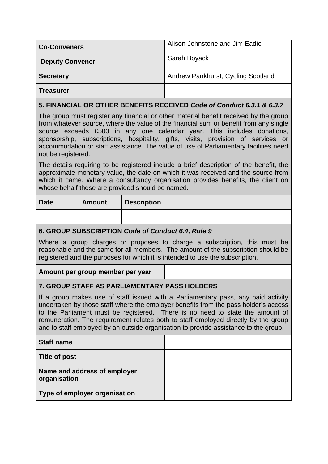| <b>Co-Conveners</b>    | Alison Johnstone and Jim Eadie     |
|------------------------|------------------------------------|
| <b>Deputy Convener</b> | Sarah Boyack                       |
| <b>Secretary</b>       | Andrew Pankhurst, Cycling Scotland |
| <b>Treasurer</b>       |                                    |

## **5. FINANCIAL OR OTHER BENEFITS RECEIVED** *Code of Conduct 6.3.1 & 6.3.7*

The group must register any financial or other material benefit received by the group from whatever source, where the value of the financial sum or benefit from any single source exceeds £500 in any one calendar year. This includes donations, sponsorship, subscriptions, hospitality, gifts, visits, provision of services or accommodation or staff assistance. The value of use of Parliamentary facilities need not be registered.

The details requiring to be registered include a brief description of the benefit, the approximate monetary value, the date on which it was received and the source from which it came. Where a consultancy organisation provides benefits, the client on whose behalf these are provided should be named.

| <b>Date</b> | <b>Amount</b> | <b>Description</b> |
|-------------|---------------|--------------------|
|             |               |                    |

## **6. GROUP SUBSCRIPTION** *Code of Conduct 6.4, Rule 9*

Where a group charges or proposes to charge a subscription, this must be reasonable and the same for all members. The amount of the subscription should be registered and the purposes for which it is intended to use the subscription.

## **Amount per group member per year**

## **7. GROUP STAFF AS PARLIAMENTARY PASS HOLDERS**

If a group makes use of staff issued with a Parliamentary pass, any paid activity undertaken by those staff where the employer benefits from the pass holder's access to the Parliament must be registered. There is no need to state the amount of remuneration. The requirement relates both to staff employed directly by the group and to staff employed by an outside organisation to provide assistance to the group.

| <b>Staff name</b>                            |  |
|----------------------------------------------|--|
| Title of post                                |  |
| Name and address of employer<br>organisation |  |
| Type of employer organisation                |  |